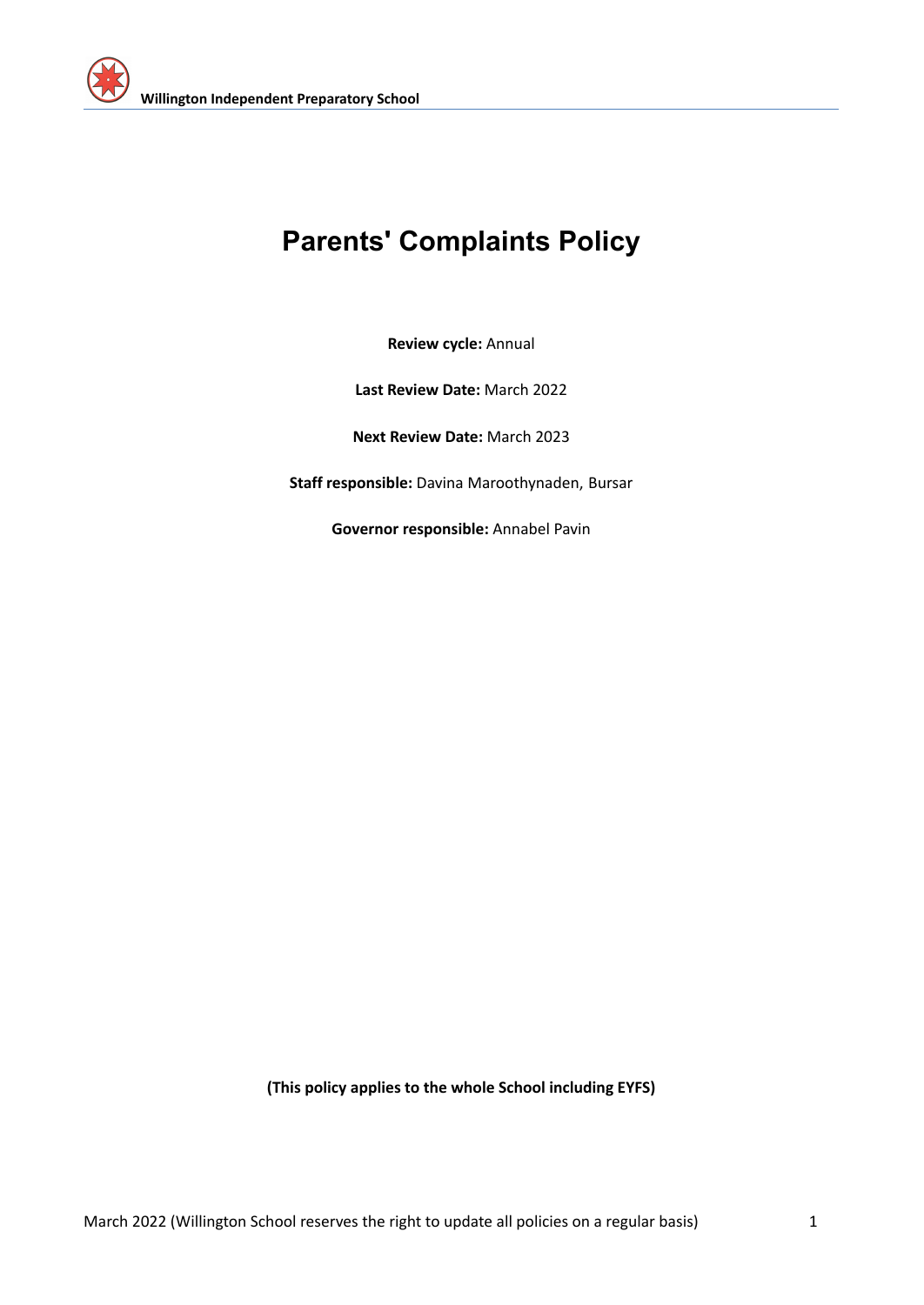

# **Parents' Complaints Policy**

**Review cycle:** Annual

**Last Review Date:** March 2022

**Next Review Date:** March 2023

**Staff responsible:** Davina Maroothynaden, Bursar

**Governor responsible:** Annabel Pavin

**(This policy applies to the whole School including EYFS)**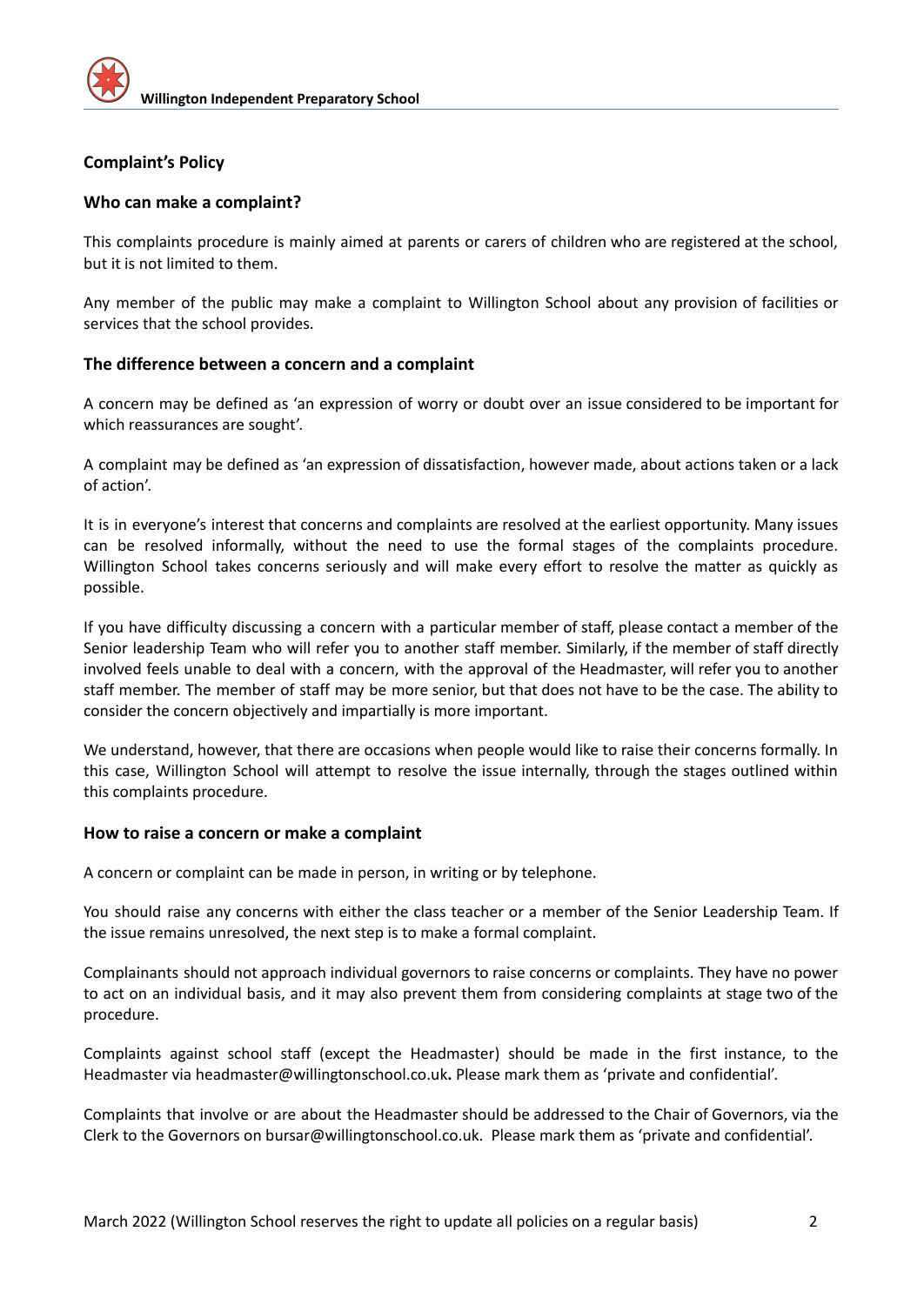

# **Complaint's Policy**

# **Who can make a complaint?**

This complaints procedure is mainly aimed at parents or carers of children who are registered at the school, but it is not limited to them.

Any member of the public may make a complaint to Willington School about any provision of facilities or services that the school provides.

# **The difference between a concern and a complaint**

A concern may be defined as 'an expression of worry or doubt over an issue considered to be important for which reassurances are sought'.

A complaint may be defined as 'an expression of dissatisfaction, however made, about actions taken or a lack of action'.

It is in everyone's interest that concerns and complaints are resolved at the earliest opportunity. Many issues can be resolved informally, without the need to use the formal stages of the complaints procedure. Willington School takes concerns seriously and will make every effort to resolve the matter as quickly as possible.

If you have difficulty discussing a concern with a particular member of staff, please contact a member of the Senior leadership Team who will refer you to another staff member. Similarly, if the member of staff directly involved feels unable to deal with a concern, with the approval of the Headmaster, will refer you to another staff member. The member of staff may be more senior, but that does not have to be the case. The ability to consider the concern objectively and impartially is more important.

We understand, however, that there are occasions when people would like to raise their concerns formally. In this case, Willington School will attempt to resolve the issue internally, through the stages outlined within this complaints procedure.

# **How to raise a concern or make a complaint**

A concern or complaint can be made in person, in writing or by telephone.

You should raise any concerns with either the class teacher or a member of the Senior Leadership Team. If the issue remains unresolved, the next step is to make a formal complaint.

Complainants should not approach individual governors to raise concerns or complaints. They have no power to act on an individual basis, and it may also prevent them from considering complaints at stage two of the procedure.

Complaints against school staff (except the Headmaster) should be made in the first instance, to the Headmaster via headmaster@willingtonschool.co.uk**.** Please mark them as 'private and confidential'.

Complaints that involve or are about the Headmaster should be addressed to the Chair of Governors, via the Clerk to the Governors on bursar@willingtonschool.co.uk. Please mark them as 'private and confidential'.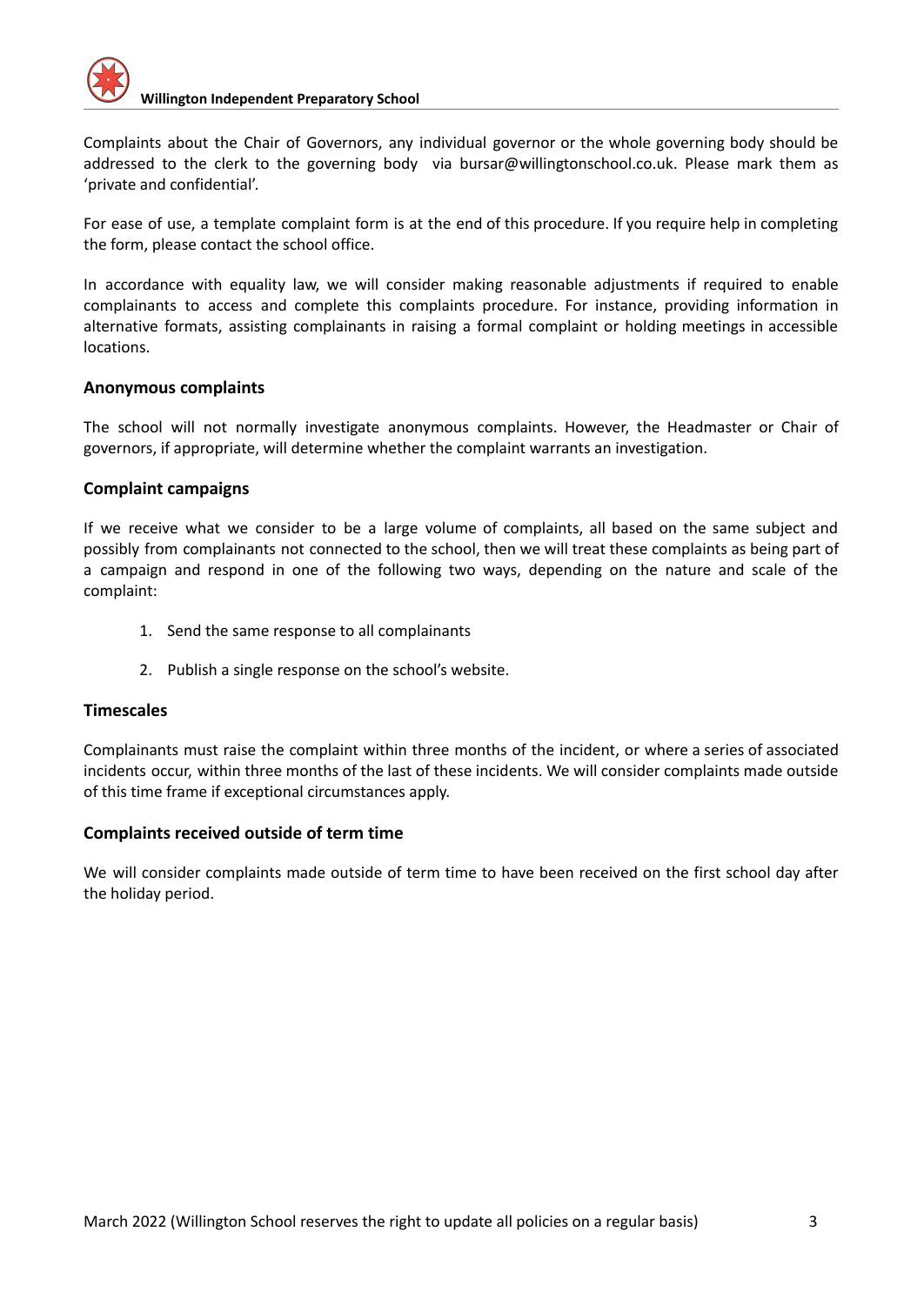

Complaints about the Chair of Governors, any individual governor or the whole governing body should be addressed to the clerk to the governing body via bursar@willingtonschool.co.uk. Please mark them as 'private and confidential'.

For ease of use, a template complaint form is at the end of this procedure. If you require help in completing the form, please contact the school office.

In accordance with equality law, we will consider making reasonable adjustments if required to enable complainants to access and complete this complaints procedure. For instance, providing information in alternative formats, assisting complainants in raising a formal complaint or holding meetings in accessible locations.

## **Anonymous complaints**

The school will not normally investigate anonymous complaints. However, the Headmaster or Chair of governors, if appropriate, will determine whether the complaint warrants an investigation.

## **Complaint campaigns**

If we receive what we consider to be a large volume of complaints, all based on the same subject and possibly from complainants not connected to the school, then we will treat these complaints as being part of a campaign and respond in one of the following two ways, depending on the nature and scale of the complaint:

- 1. Send the same response to all complainants
- 2. Publish a single response on the school's website.

#### **Timescales**

Complainants must raise the complaint within three months of the incident, or where a series of associated incidents occur, within three months of the last of these incidents. We will consider complaints made outside of this time frame if exceptional circumstances apply.

# **Complaints received outside of term time**

We will consider complaints made outside of term time to have been received on the first school day after the holiday period.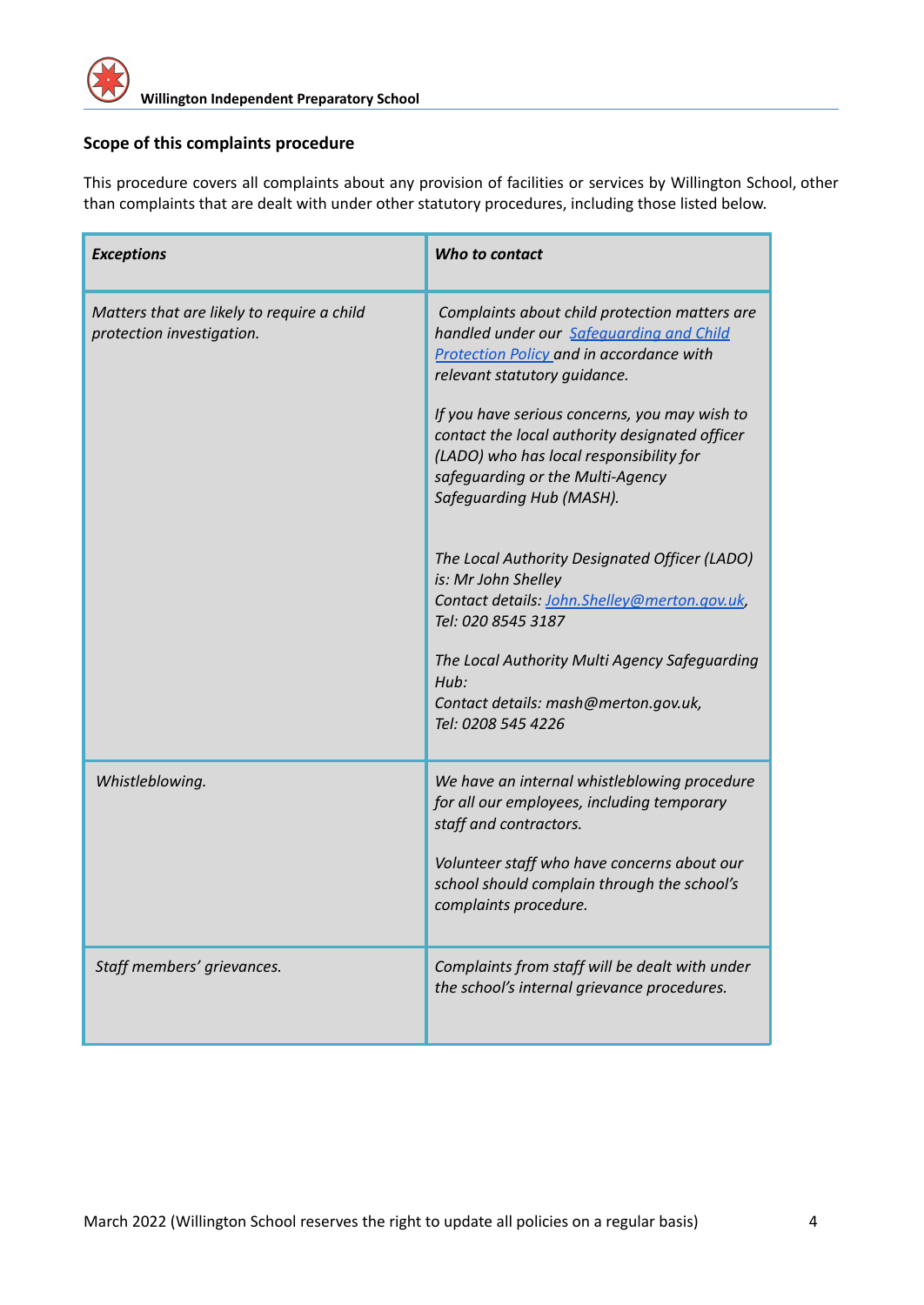

# **Scope of this complaints procedure**

This procedure covers all complaints about any provision of facilities or services by Willington School, other than complaints that are dealt with under other statutory procedures, including those listed below.

| <b>Exceptions</b>                                                       | Who to contact                                                                                                                                                                                                                                                                                                                                                                                                                                                                                                                                                                                                                                           |
|-------------------------------------------------------------------------|----------------------------------------------------------------------------------------------------------------------------------------------------------------------------------------------------------------------------------------------------------------------------------------------------------------------------------------------------------------------------------------------------------------------------------------------------------------------------------------------------------------------------------------------------------------------------------------------------------------------------------------------------------|
| Matters that are likely to require a child<br>protection investigation. | Complaints about child protection matters are<br>handled under our Safequarding and Child<br>Protection Policy and in accordance with<br>relevant statutory guidance.<br>If you have serious concerns, you may wish to<br>contact the local authority designated officer<br>(LADO) who has local responsibility for<br>safeguarding or the Multi-Agency<br>Safeguarding Hub (MASH).<br>The Local Authority Designated Officer (LADO)<br>is: Mr John Shelley<br>Contact details: John.Shelley@merton.gov.uk,<br>Tel: 020 8545 3187<br>The Local Authority Multi Agency Safeguarding<br>Hub:<br>Contact details: mash@merton.gov.uk,<br>Tel: 0208 545 4226 |
| Whistleblowing.                                                         | We have an internal whistleblowing procedure<br>for all our employees, including temporary<br>staff and contractors.<br>Volunteer staff who have concerns about our<br>school should complain through the school's<br>complaints procedure.                                                                                                                                                                                                                                                                                                                                                                                                              |
| Staff members' grievances.                                              | Complaints from staff will be dealt with under<br>the school's internal grievance procedures.                                                                                                                                                                                                                                                                                                                                                                                                                                                                                                                                                            |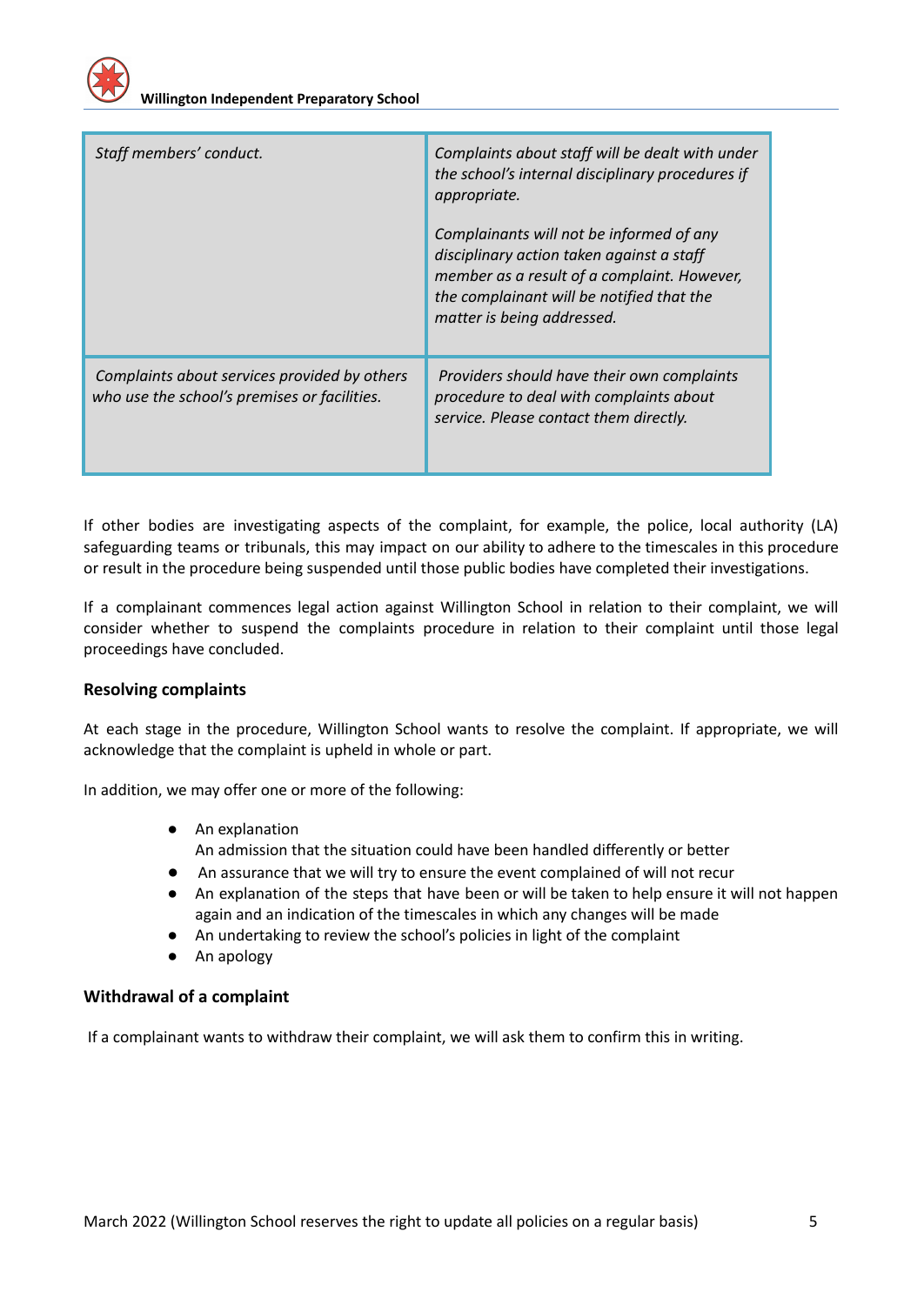**Willington Independent Preparatory School**

| Staff members' conduct.                                                                      | Complaints about staff will be dealt with under<br>the school's internal disciplinary procedures if<br>appropriate.<br>Complainants will not be informed of any<br>disciplinary action taken against a staff<br>member as a result of a complaint. However,<br>the complainant will be notified that the<br>matter is being addressed. |
|----------------------------------------------------------------------------------------------|----------------------------------------------------------------------------------------------------------------------------------------------------------------------------------------------------------------------------------------------------------------------------------------------------------------------------------------|
| Complaints about services provided by others<br>who use the school's premises or facilities. | Providers should have their own complaints<br>procedure to deal with complaints about<br>service. Please contact them directly.                                                                                                                                                                                                        |

If other bodies are investigating aspects of the complaint, for example, the police, local authority (LA) safeguarding teams or tribunals, this may impact on our ability to adhere to the timescales in this procedure or result in the procedure being suspended until those public bodies have completed their investigations.

If a complainant commences legal action against Willington School in relation to their complaint, we will consider whether to suspend the complaints procedure in relation to their complaint until those legal proceedings have concluded.

# **Resolving complaints**

At each stage in the procedure, Willington School wants to resolve the complaint. If appropriate, we will acknowledge that the complaint is upheld in whole or part.

In addition, we may offer one or more of the following:

- An explanation An admission that the situation could have been handled differently or better
- An assurance that we will try to ensure the event complained of will not recur
- An explanation of the steps that have been or will be taken to help ensure it will not happen again and an indication of the timescales in which any changes will be made
- An undertaking to review the school's policies in light of the complaint
- An apology

# **Withdrawal of a complaint**

If a complainant wants to withdraw their complaint, we will ask them to confirm this in writing.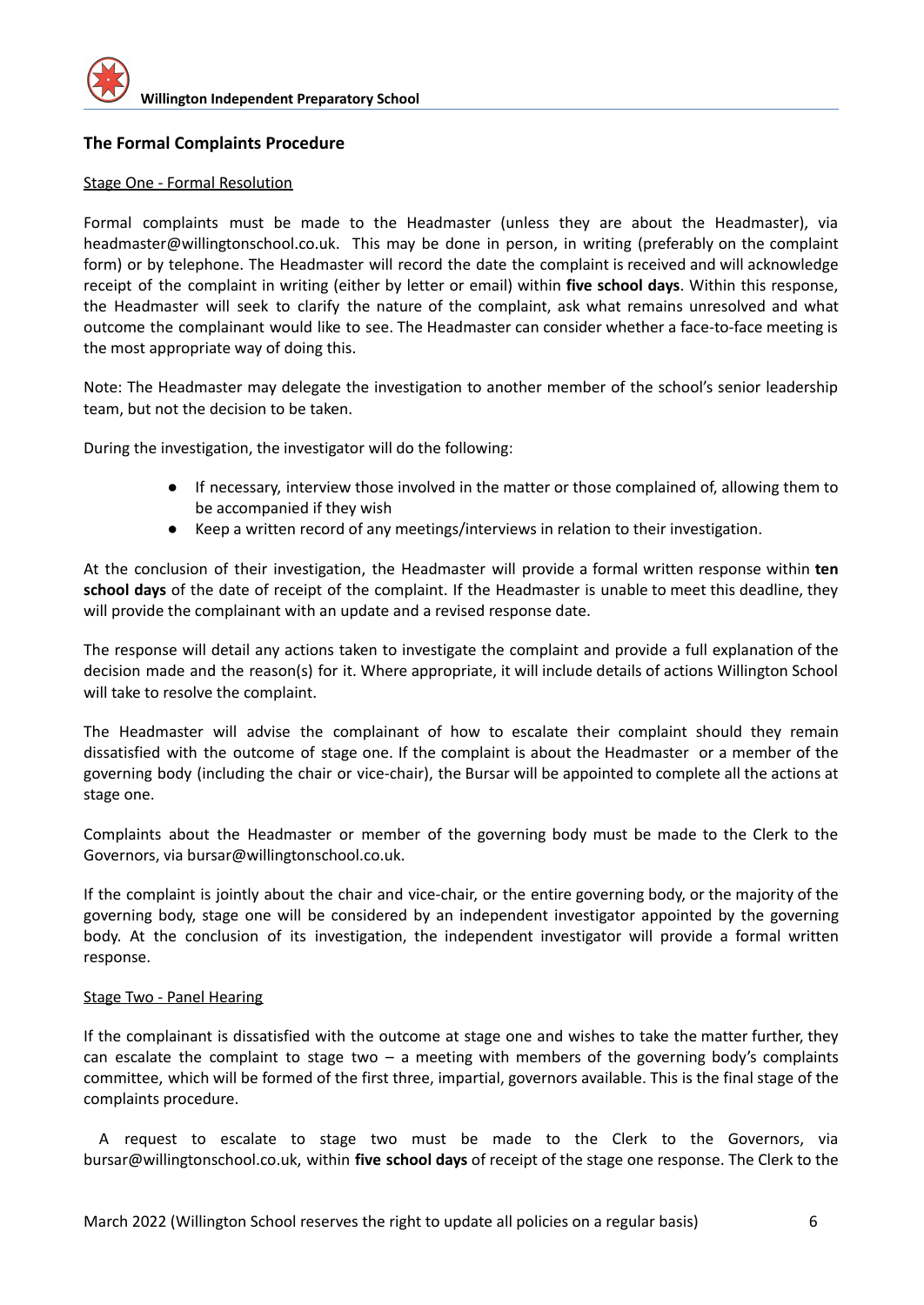# **The Formal Complaints Procedure**

## Stage One - Formal Resolution

Formal complaints must be made to the Headmaster (unless they are about the Headmaster), via headmaster@willingtonschool.co.uk. This may be done in person, in writing (preferably on the complaint form) or by telephone. The Headmaster will record the date the complaint is received and will acknowledge receipt of the complaint in writing (either by letter or email) within **five school days**. Within this response, the Headmaster will seek to clarify the nature of the complaint, ask what remains unresolved and what outcome the complainant would like to see. The Headmaster can consider whether a face-to-face meeting is the most appropriate way of doing this.

Note: The Headmaster may delegate the investigation to another member of the school's senior leadership team, but not the decision to be taken.

During the investigation, the investigator will do the following:

- If necessary, interview those involved in the matter or those complained of, allowing them to be accompanied if they wish
- Keep a written record of any meetings/interviews in relation to their investigation.

At the conclusion of their investigation, the Headmaster will provide a formal written response within **ten school days** of the date of receipt of the complaint. If the Headmaster is unable to meet this deadline, they will provide the complainant with an update and a revised response date.

The response will detail any actions taken to investigate the complaint and provide a full explanation of the decision made and the reason(s) for it. Where appropriate, it will include details of actions Willington School will take to resolve the complaint.

The Headmaster will advise the complainant of how to escalate their complaint should they remain dissatisfied with the outcome of stage one. If the complaint is about the Headmaster or a member of the governing body (including the chair or vice-chair), the Bursar will be appointed to complete all the actions at stage one.

Complaints about the Headmaster or member of the governing body must be made to the Clerk to the Governors, via bursar@willingtonschool.co.uk.

If the complaint is jointly about the chair and vice-chair, or the entire governing body, or the majority of the governing body, stage one will be considered by an independent investigator appointed by the governing body. At the conclusion of its investigation, the independent investigator will provide a formal written response.

#### Stage Two - Panel Hearing

If the complainant is dissatisfied with the outcome at stage one and wishes to take the matter further, they can escalate the complaint to stage two  $-$  a meeting with members of the governing body's complaints committee, which will be formed of the first three, impartial, governors available. This is the final stage of the complaints procedure.

A request to escalate to stage two must be made to the Clerk to the Governors, via bursar@willingtonschool.co.uk, within **five school days** of receipt of the stage one response. The Clerk to the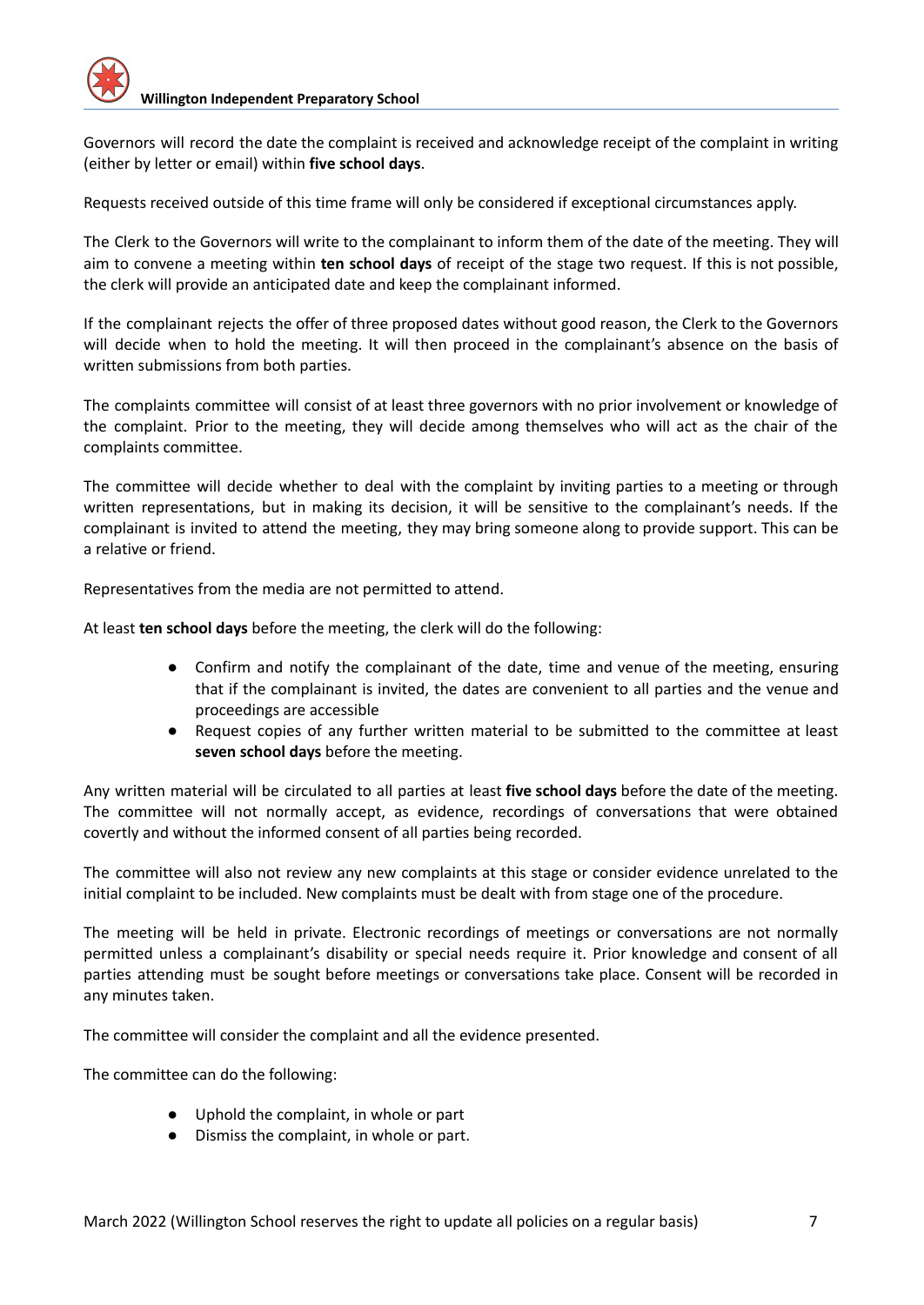Governors will record the date the complaint is received and acknowledge receipt of the complaint in writing (either by letter or email) within **five school days**.

Requests received outside of this time frame will only be considered if exceptional circumstances apply.

The Clerk to the Governors will write to the complainant to inform them of the date of the meeting. They will aim to convene a meeting within **ten school days** of receipt of the stage two request. If this is not possible, the clerk will provide an anticipated date and keep the complainant informed.

If the complainant rejects the offer of three proposed dates without good reason, the Clerk to the Governors will decide when to hold the meeting. It will then proceed in the complainant's absence on the basis of written submissions from both parties.

The complaints committee will consist of at least three governors with no prior involvement or knowledge of the complaint. Prior to the meeting, they will decide among themselves who will act as the chair of the complaints committee.

The committee will decide whether to deal with the complaint by inviting parties to a meeting or through written representations, but in making its decision, it will be sensitive to the complainant's needs. If the complainant is invited to attend the meeting, they may bring someone along to provide support. This can be a relative or friend.

Representatives from the media are not permitted to attend.

At least **ten school days** before the meeting, the clerk will do the following:

- Confirm and notify the complainant of the date, time and venue of the meeting, ensuring that if the complainant is invited, the dates are convenient to all parties and the venue and proceedings are accessible
- Request copies of any further written material to be submitted to the committee at least **seven school days** before the meeting.

Any written material will be circulated to all parties at least **five school days** before the date of the meeting. The committee will not normally accept, as evidence, recordings of conversations that were obtained covertly and without the informed consent of all parties being recorded.

The committee will also not review any new complaints at this stage or consider evidence unrelated to the initial complaint to be included. New complaints must be dealt with from stage one of the procedure.

The meeting will be held in private. Electronic recordings of meetings or conversations are not normally permitted unless a complainant's disability or special needs require it. Prior knowledge and consent of all parties attending must be sought before meetings or conversations take place. Consent will be recorded in any minutes taken.

The committee will consider the complaint and all the evidence presented.

The committee can do the following:

- Uphold the complaint, in whole or part
- Dismiss the complaint, in whole or part.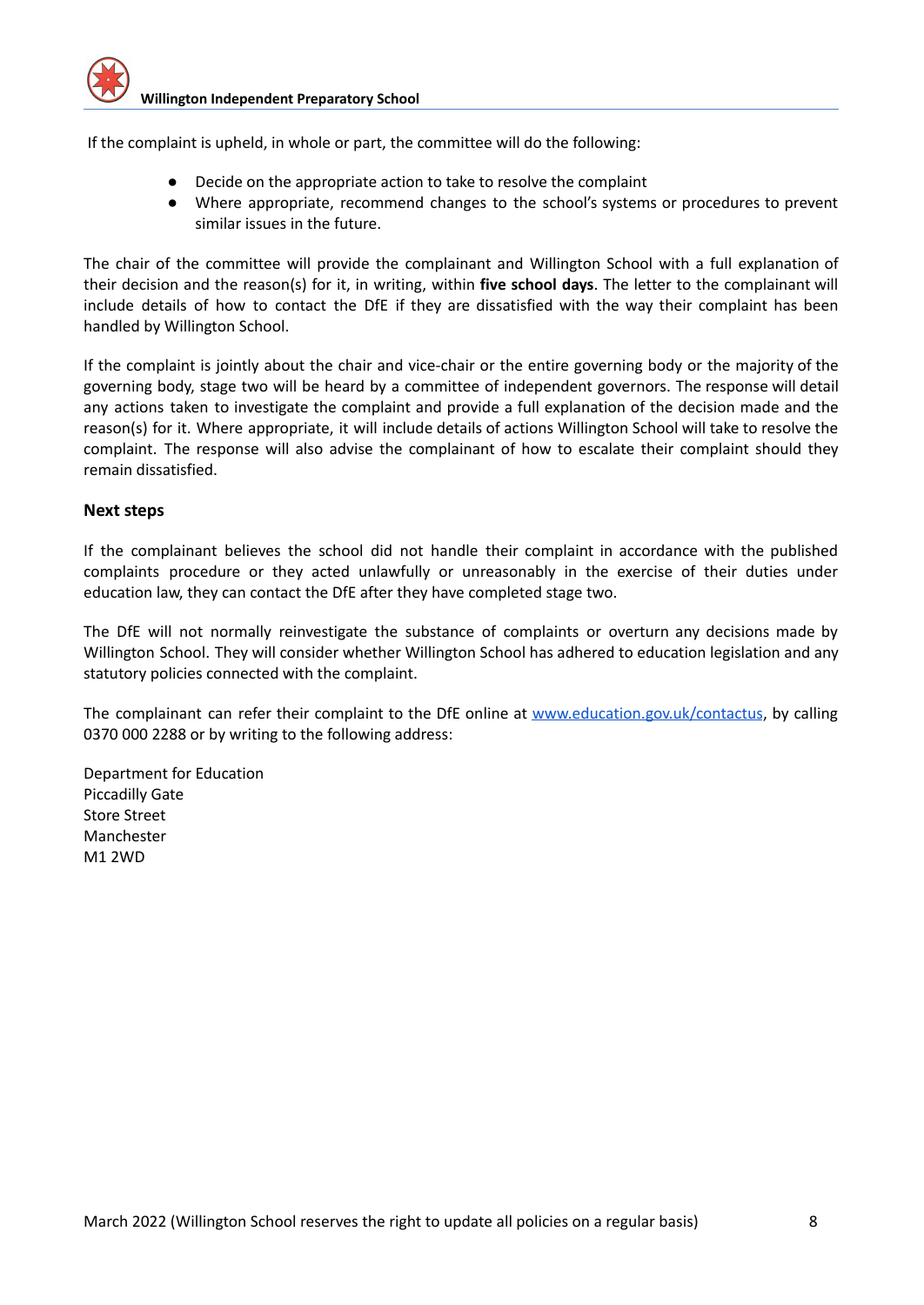If the complaint is upheld, in whole or part, the committee will do the following:

- Decide on the appropriate action to take to resolve the complaint
- Where appropriate, recommend changes to the school's systems or procedures to prevent similar issues in the future.

The chair of the committee will provide the complainant and Willington School with a full explanation of their decision and the reason(s) for it, in writing, within **five school days**. The letter to the complainant will include details of how to contact the DfE if they are dissatisfied with the way their complaint has been handled by Willington School.

If the complaint is jointly about the chair and vice-chair or the entire governing body or the majority of the governing body, stage two will be heard by a committee of independent governors. The response will detail any actions taken to investigate the complaint and provide a full explanation of the decision made and the reason(s) for it. Where appropriate, it will include details of actions Willington School will take to resolve the complaint. The response will also advise the complainant of how to escalate their complaint should they remain dissatisfied.

# **Next steps**

If the complainant believes the school did not handle their complaint in accordance with the published complaints procedure or they acted unlawfully or unreasonably in the exercise of their duties under education law, they can contact the DfE after they have completed stage two.

The DfE will not normally reinvestigate the substance of complaints or overturn any decisions made by Willington School. They will consider whether Willington School has adhered to education legislation and any statutory policies connected with the complaint.

The complainant can refer their complaint to the DfE online at [www.education.gov.uk/contactus](http://www.education.gov.uk/contactus), by calling 0370 000 2288 or by writing to the following address:

Department for Education Piccadilly Gate Store Street Manchester M1 2WD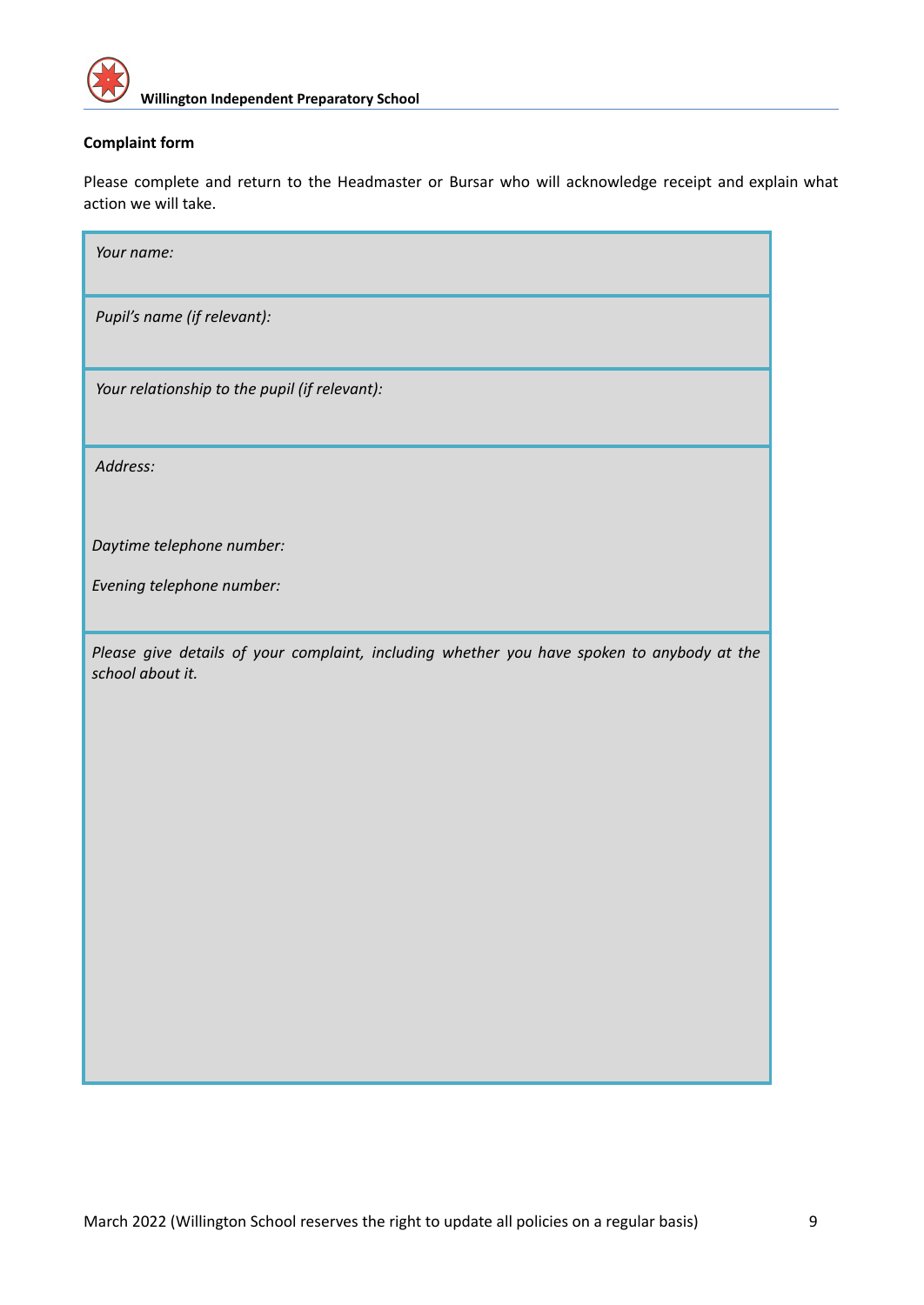

# **Complaint form**

Please complete and return to the Headmaster or Bursar who will acknowledge receipt and explain what action we will take.

| Your name:                                                                                                     |
|----------------------------------------------------------------------------------------------------------------|
| Pupil's name (if relevant):                                                                                    |
| Your relationship to the pupil (if relevant):                                                                  |
| Address:                                                                                                       |
| Daytime telephone number:                                                                                      |
| Evening telephone number:                                                                                      |
| Please give details of your complaint, including whether you have spoken to anybody at the<br>school about it. |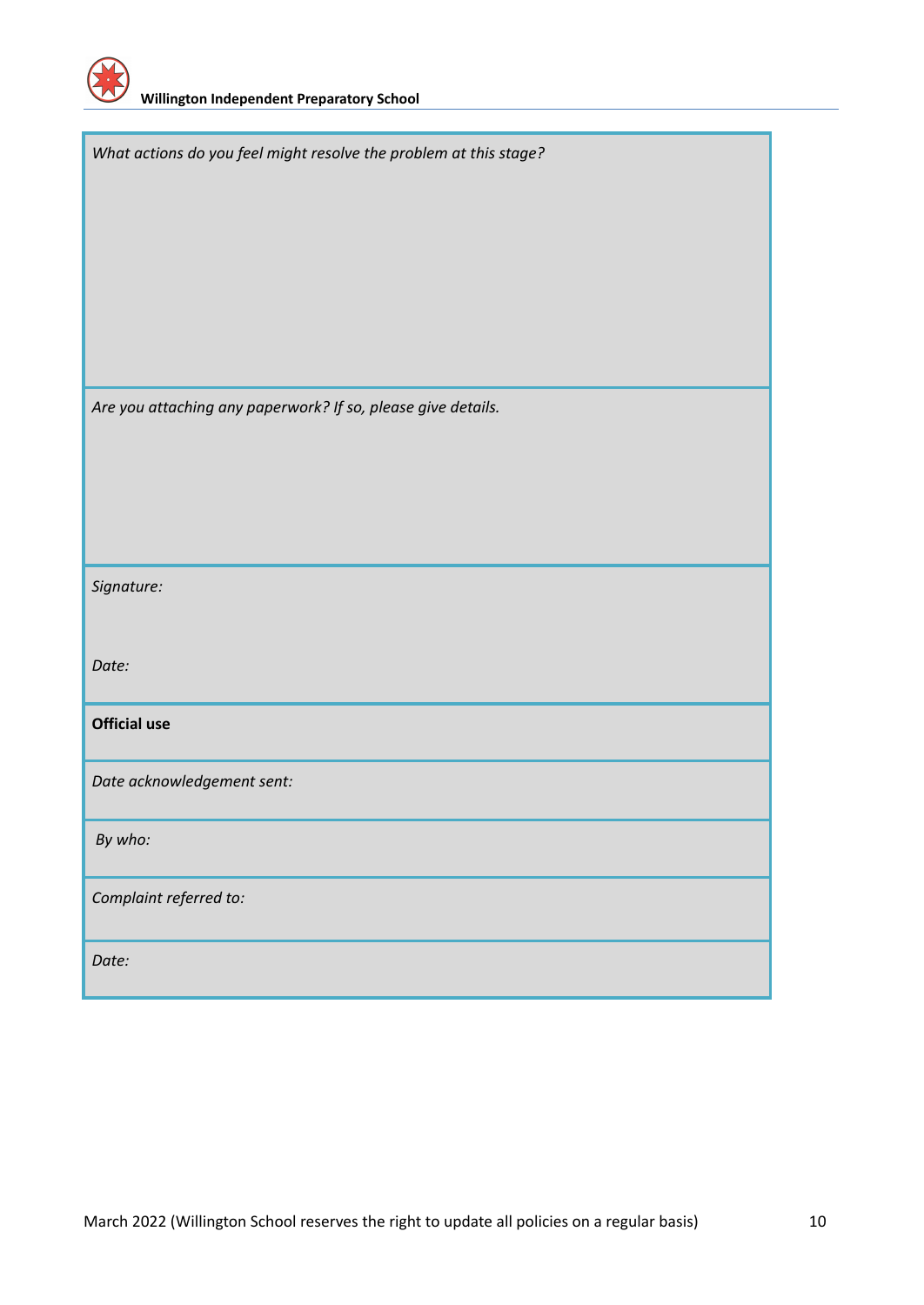

| What actions do you feel might resolve the problem at this stage? |  |
|-------------------------------------------------------------------|--|
|                                                                   |  |
|                                                                   |  |
|                                                                   |  |
|                                                                   |  |
|                                                                   |  |
| Are you attaching any paperwork? If so, please give details.      |  |
|                                                                   |  |
|                                                                   |  |
|                                                                   |  |
| Signature:                                                        |  |
|                                                                   |  |
| Date:                                                             |  |
| <b>Official use</b>                                               |  |
| Date acknowledgement sent:                                        |  |
| By who:                                                           |  |
| Complaint referred to:                                            |  |
| Date:                                                             |  |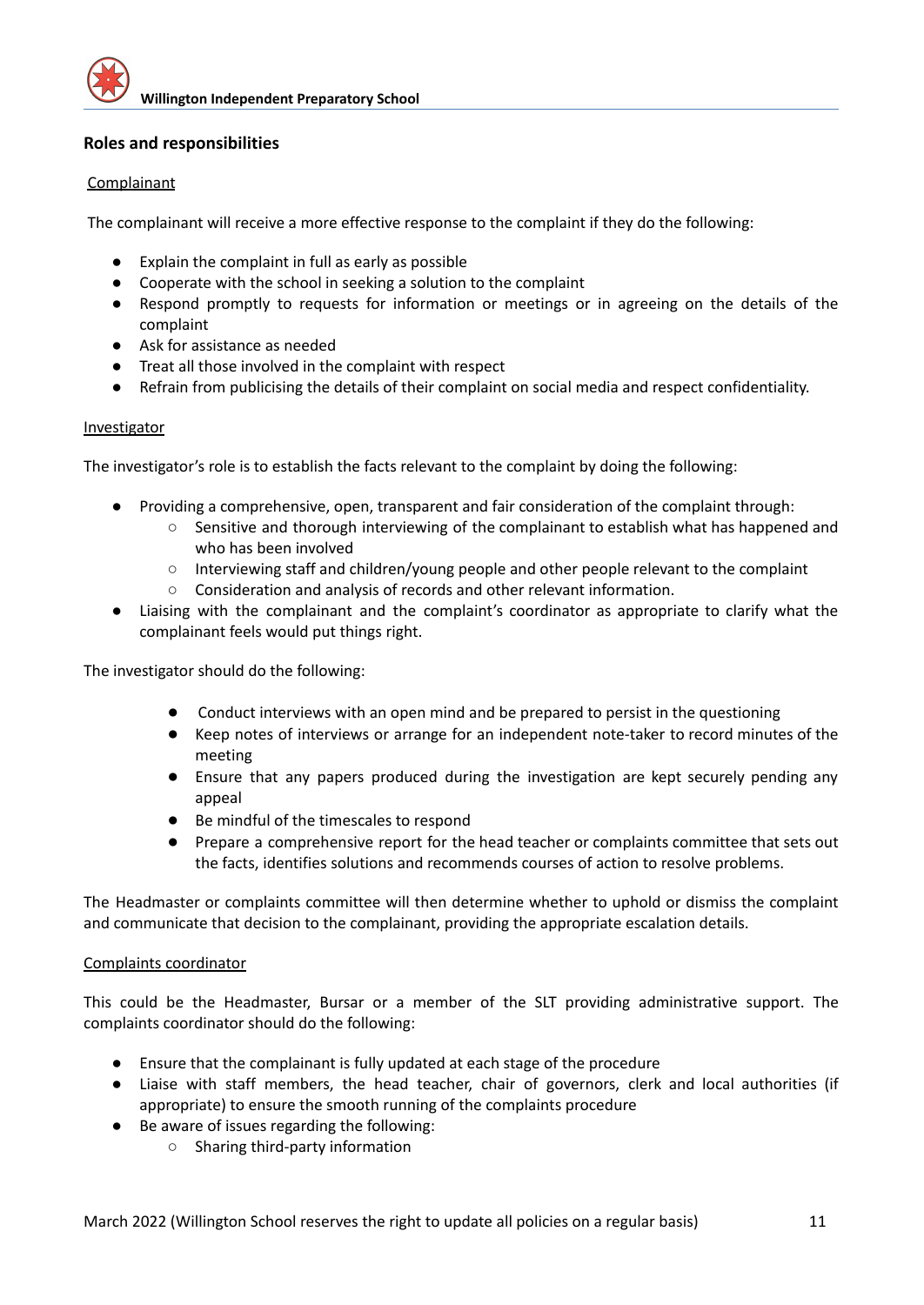

# **Roles and responsibilities**

# Complainant

The complainant will receive a more effective response to the complaint if they do the following:

- Explain the complaint in full as early as possible
- Cooperate with the school in seeking a solution to the complaint
- Respond promptly to requests for information or meetings or in agreeing on the details of the complaint
- Ask for assistance as needed
- Treat all those involved in the complaint with respect
- Refrain from publicising the details of their complaint on social media and respect confidentiality.

## Investigator

The investigator's role is to establish the facts relevant to the complaint by doing the following:

- Providing a comprehensive, open, transparent and fair consideration of the complaint through:
	- Sensitive and thorough interviewing of the complainant to establish what has happened and who has been involved
	- Interviewing staff and children/young people and other people relevant to the complaint
	- Consideration and analysis of records and other relevant information.
- Liaising with the complainant and the complaint's coordinator as appropriate to clarify what the complainant feels would put things right.

The investigator should do the following:

- Conduct interviews with an open mind and be prepared to persist in the questioning
- Keep notes of interviews or arrange for an independent note-taker to record minutes of the meeting
- Ensure that any papers produced during the investigation are kept securely pending any appeal
- Be mindful of the timescales to respond
- Prepare a comprehensive report for the head teacher or complaints committee that sets out the facts, identifies solutions and recommends courses of action to resolve problems.

The Headmaster or complaints committee will then determine whether to uphold or dismiss the complaint and communicate that decision to the complainant, providing the appropriate escalation details.

#### Complaints coordinator

This could be the Headmaster, Bursar or a member of the SLT providing administrative support. The complaints coordinator should do the following:

- Ensure that the complainant is fully updated at each stage of the procedure
- Liaise with staff members, the head teacher, chair of governors, clerk and local authorities (if appropriate) to ensure the smooth running of the complaints procedure
- Be aware of issues regarding the following:
	- Sharing third-party information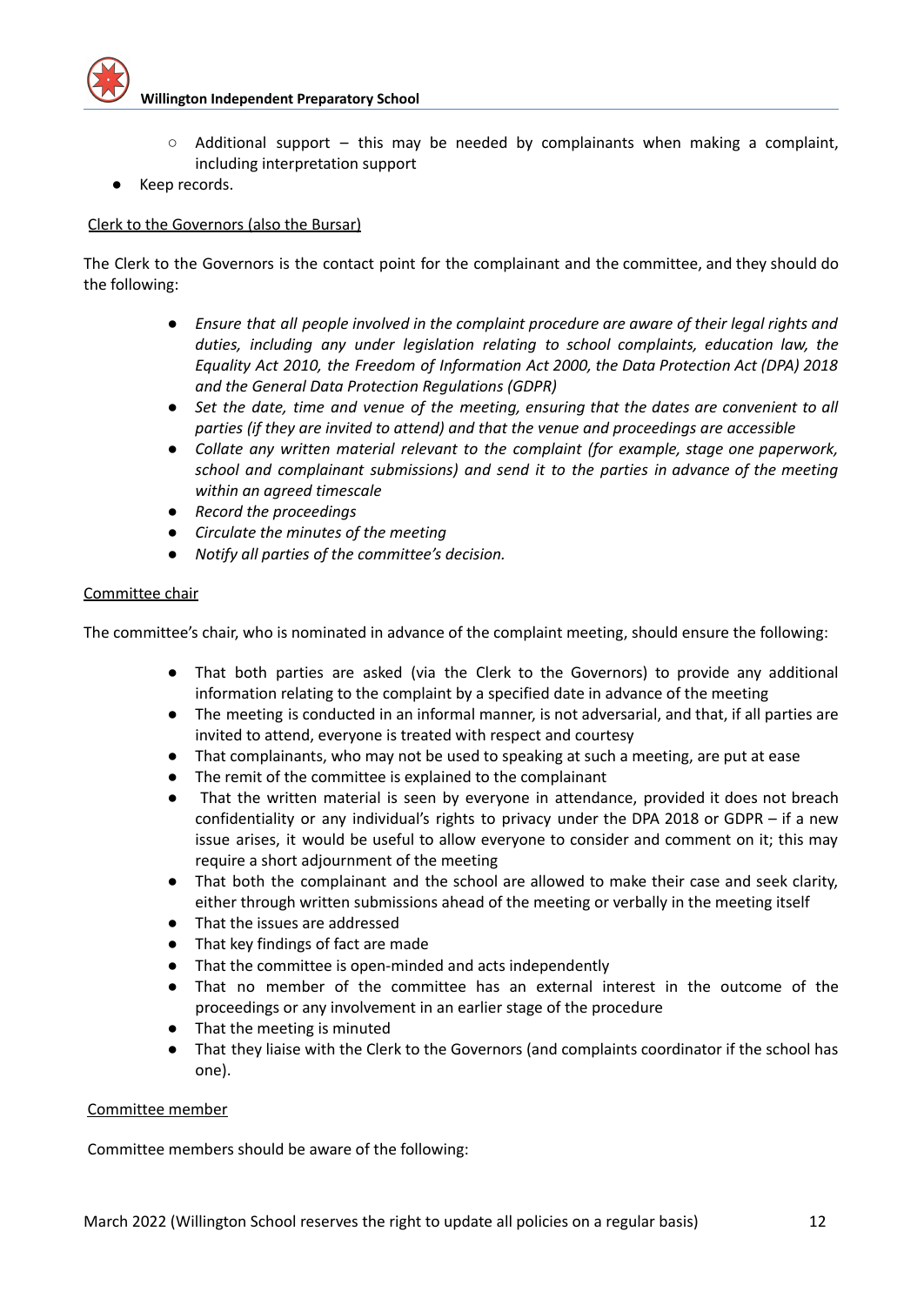

- $\circ$  Additional support this may be needed by complainants when making a complaint, including interpretation support
- Keep records.

# Clerk to the Governors (also the Bursar)

The Clerk to the Governors is the contact point for the complainant and the committee, and they should do the following:

- *● Ensure that all people involved in the complaint procedure are aware of their legal rights and duties, including any under legislation relating to school complaints, education law, the Equality Act 2010, the Freedom of Information Act 2000, the Data Protection Act (DPA) 2018 and the General Data Protection Regulations (GDPR)*
- *● Set the date, time and venue of the meeting, ensuring that the dates are convenient to all parties (if they are invited to attend) and that the venue and proceedings are accessible*
- *● Collate any written material relevant to the complaint (for example, stage one paperwork, school and complainant submissions) and send it to the parties in advance of the meeting within an agreed timescale*
- *● Record the proceedings*
- *● Circulate the minutes of the meeting*
- *● Notify all parties of the committee's decision.*

# Committee chair

The committee's chair, who is nominated in advance of the complaint meeting, should ensure the following:

- That both parties are asked (via the Clerk to the Governors) to provide any additional information relating to the complaint by a specified date in advance of the meeting
- The meeting is conducted in an informal manner, is not adversarial, and that, if all parties are invited to attend, everyone is treated with respect and courtesy
- That complainants, who may not be used to speaking at such a meeting, are put at ease
- The remit of the committee is explained to the complainant
- That the written material is seen by everyone in attendance, provided it does not breach confidentiality or any individual's rights to privacy under the DPA 2018 or GDPR – if a new issue arises, it would be useful to allow everyone to consider and comment on it; this may require a short adjournment of the meeting
- That both the complainant and the school are allowed to make their case and seek clarity, either through written submissions ahead of the meeting or verbally in the meeting itself
- That the issues are addressed
- That key findings of fact are made
- That the committee is open-minded and acts independently
- That no member of the committee has an external interest in the outcome of the proceedings or any involvement in an earlier stage of the procedure
- That the meeting is minuted
- That they liaise with the Clerk to the Governors (and complaints coordinator if the school has one).

# Committee member

Committee members should be aware of the following: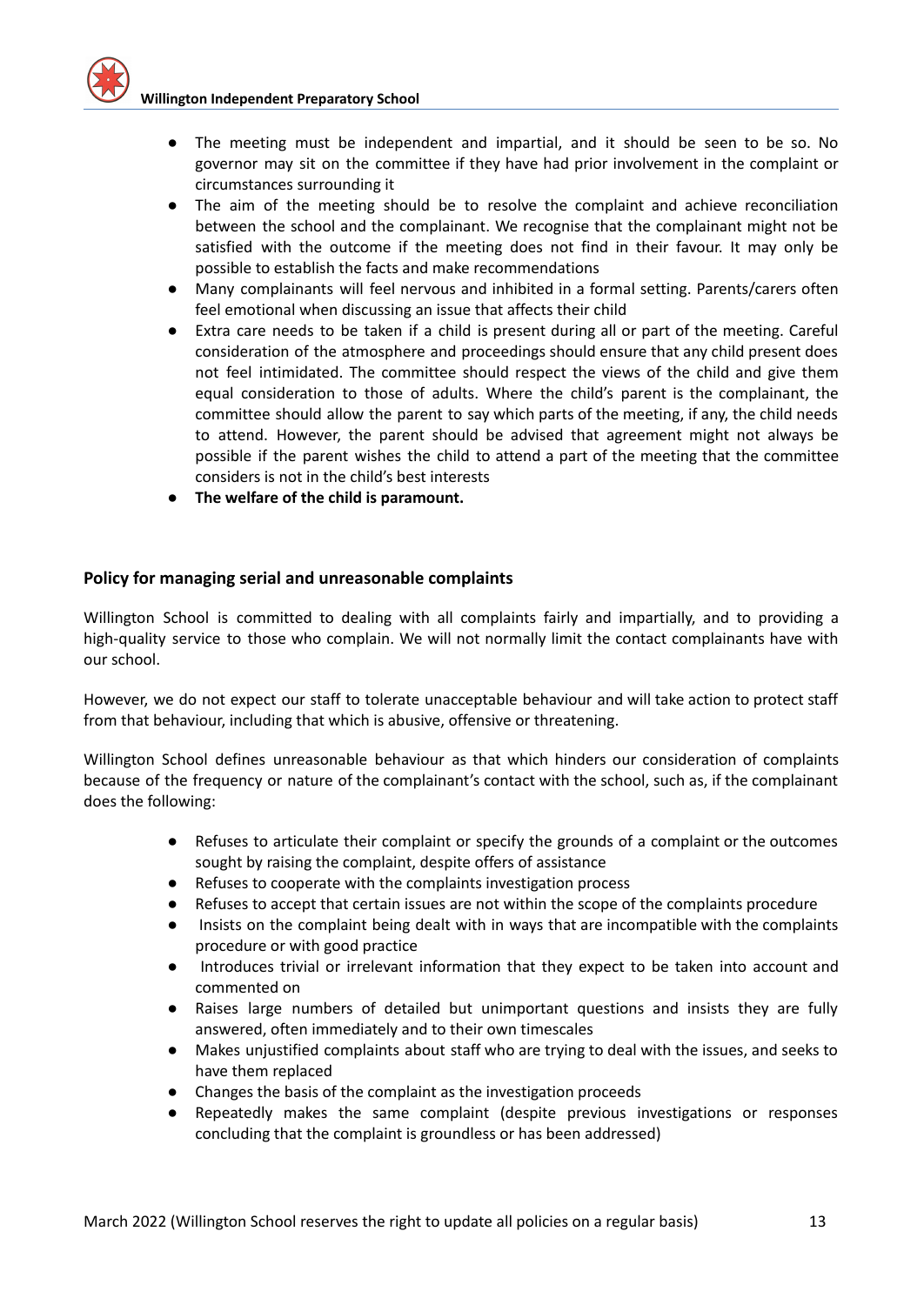

- The meeting must be independent and impartial, and it should be seen to be so. No governor may sit on the committee if they have had prior involvement in the complaint or circumstances surrounding it
- The aim of the meeting should be to resolve the complaint and achieve reconciliation between the school and the complainant. We recognise that the complainant might not be satisfied with the outcome if the meeting does not find in their favour. It may only be possible to establish the facts and make recommendations
- Many complainants will feel nervous and inhibited in a formal setting. Parents/carers often feel emotional when discussing an issue that affects their child
- Extra care needs to be taken if a child is present during all or part of the meeting. Careful consideration of the atmosphere and proceedings should ensure that any child present does not feel intimidated. The committee should respect the views of the child and give them equal consideration to those of adults. Where the child's parent is the complainant, the committee should allow the parent to say which parts of the meeting, if any, the child needs to attend. However, the parent should be advised that agreement might not always be possible if the parent wishes the child to attend a part of the meeting that the committee considers is not in the child's best interests
- **● The welfare of the child is paramount.**

# **Policy for managing serial and unreasonable complaints**

Willington School is committed to dealing with all complaints fairly and impartially, and to providing a high-quality service to those who complain. We will not normally limit the contact complainants have with our school.

However, we do not expect our staff to tolerate unacceptable behaviour and will take action to protect staff from that behaviour, including that which is abusive, offensive or threatening.

Willington School defines unreasonable behaviour as that which hinders our consideration of complaints because of the frequency or nature of the complainant's contact with the school, such as, if the complainant does the following:

- Refuses to articulate their complaint or specify the grounds of a complaint or the outcomes sought by raising the complaint, despite offers of assistance
- Refuses to cooperate with the complaints investigation process
- Refuses to accept that certain issues are not within the scope of the complaints procedure
- Insists on the complaint being dealt with in ways that are incompatible with the complaints procedure or with good practice
- Introduces trivial or irrelevant information that they expect to be taken into account and commented on
- Raises large numbers of detailed but unimportant questions and insists they are fully answered, often immediately and to their own timescales
- Makes unjustified complaints about staff who are trying to deal with the issues, and seeks to have them replaced
- Changes the basis of the complaint as the investigation proceeds
- Repeatedly makes the same complaint (despite previous investigations or responses concluding that the complaint is groundless or has been addressed)